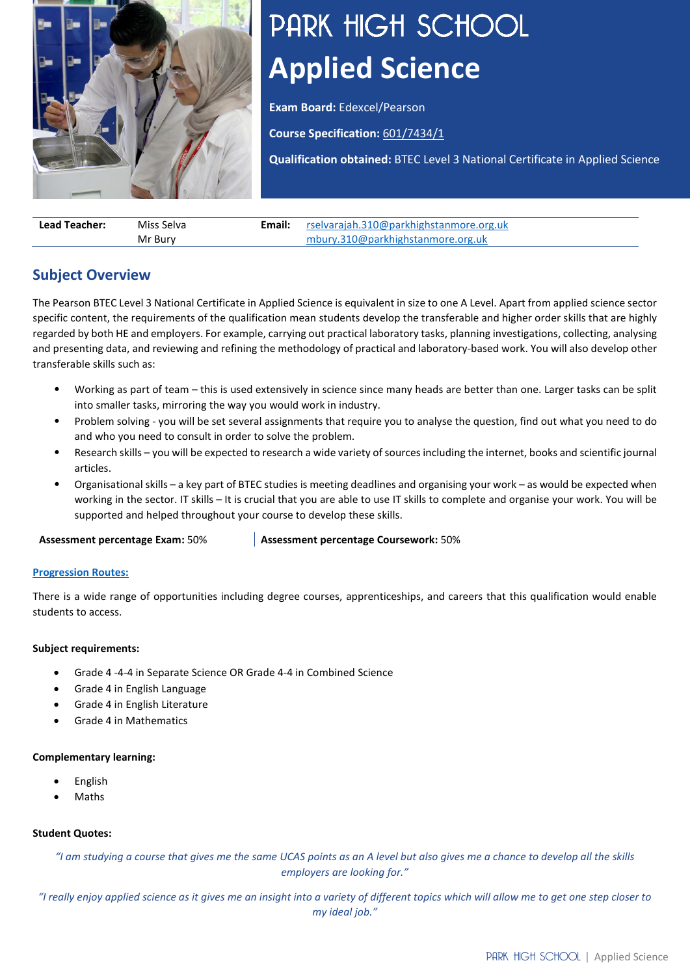

# PARK HIGH SCHOOL **Applied Science**

**Exam Board:** Edexcel/Pearson

**Course Specification:** [601/7434/1](https://qualifications.pearson.com/content/dam/pdf/BTEC-Nationals/Applied-Science/2016/specification-and-sample-assessments/9781446938157_BTECNat_AppSci_Cert_Spec.pdf)

**Qualification obtained:** BTEC Level 3 National Certificate in Applied Science

**Lead Teacher:** Miss Selva Mr Bury **Email:** [rselvarajah.310@parkhighstanmore.org.uk](mailto:rselvarajah.310@parkhighstanmore.org.uk) [mbury.310@parkhighstanmore.org.uk](mailto:mbury.310@parkhighstanmore.org.uk)

## **Subject Overview**

The Pearson BTEC Level 3 National Certificate in Applied Science is equivalent in size to one A Level. Apart from applied science sector specific content, the requirements of the qualification mean students develop the transferable and higher order skills that are highly regarded by both HE and employers. For example, carrying out practical laboratory tasks, planning investigations, collecting, analysing and presenting data, and reviewing and refining the methodology of practical and laboratory-based work. You will also develop other transferable skills such as:

- Working as part of team this is used extensively in science since many heads are better than one. Larger tasks can be split into smaller tasks, mirroring the way you would work in industry.
- Problem solving you will be set several assignments that require you to analyse the question, find out what you need to do and who you need to consult in order to solve the problem.
- Research skills you will be expected to research a wide variety of sources including the internet, books and scientific journal articles.
- Organisational skills a key part of BTEC studies is meeting deadlines and organising your work as would be expected when working in the sector. IT skills – It is crucial that you are able to use IT skills to complete and organise your work. You will be supported and helped throughout your course to develop these skills.

**Assessment percentage Exam:** 50% **Assessment percentage Coursework:** 50%

#### **[Progression Routes:](https://www.parkhighstanmore.org.uk/careersandemploaybility/studentresources)**

There is a wide range of opportunities including degree courses, apprenticeships, and careers that this qualification would enable students to access.

#### **Subject requirements:**

- Grade 4 -4-4 in Separate Science OR Grade 4-4 in Combined Science
- Grade 4 in English Language
- Grade 4 in English Literature
- Grade 4 in Mathematics

#### **Complementary learning:**

- English
- Maths

#### **Student Quotes:**

*"I am studying a course that gives me the same UCAS points as an A level but also gives me a chance to develop all the skills employers are looking for."*

*"I really enjoy applied science as it gives me an insight into a variety of different topics which will allow me to get one step closer to my ideal job."*